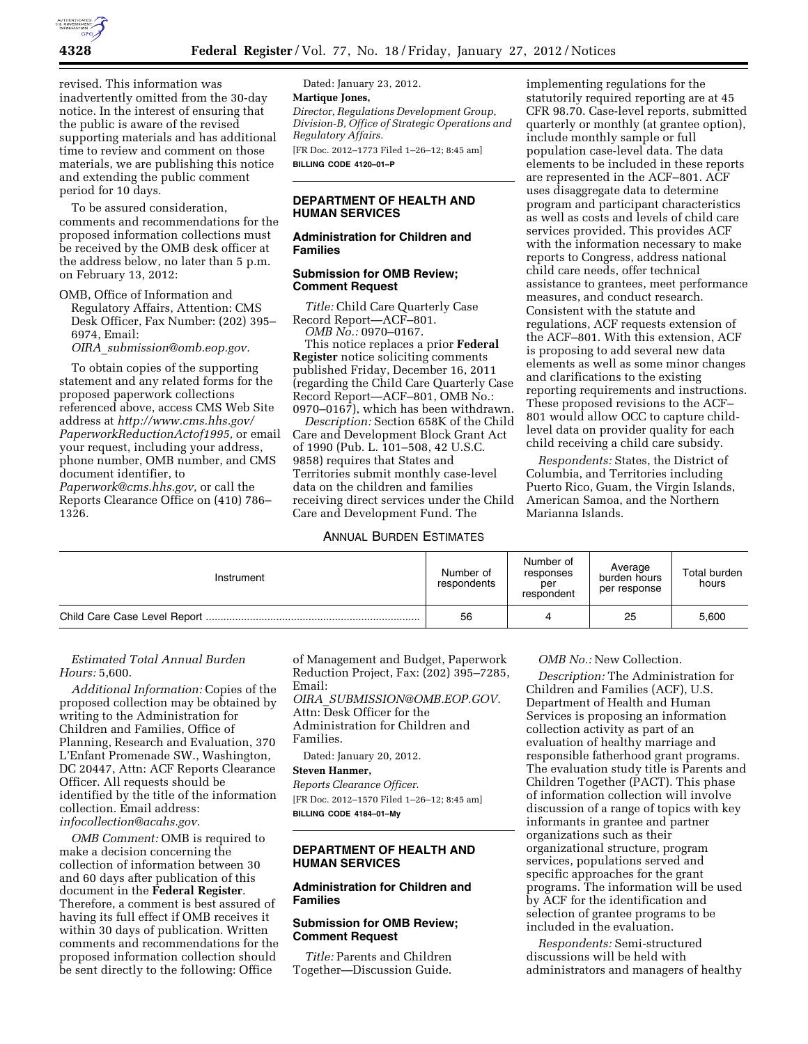

revised. This information was inadvertently omitted from the 30-day notice. In the interest of ensuring that the public is aware of the revised supporting materials and has additional time to review and comment on those materials, we are publishing this notice and extending the public comment period for 10 days.

To be assured consideration, comments and recommendations for the proposed information collections must be received by the OMB desk officer at the address below, no later than 5 p.m. on February 13, 2012:

OMB, Office of Information and Regulatory Affairs, Attention: CMS Desk Officer, Fax Number: (202) 395– 6974, Email:

*OIRA*\_*[submission@omb.eop.gov.](mailto:OIRA_submission@omb.eop.gov)* 

To obtain copies of the supporting statement and any related forms for the proposed paperwork collections referenced above, access CMS Web Site address at *[http://www.cms.hhs.gov/](http://www.cms.hhs.gov/PaperworkReductionActof1995)  [PaperworkReductionActof1995,](http://www.cms.hhs.gov/PaperworkReductionActof1995)* or email your request, including your address, phone number, OMB number, and CMS document identifier, to *[Paperwork@cms.hhs.gov,](mailto:Paperwork@cms.hhs.gov)* or call the Reports Clearance Office on (410) 786– 1326.

Dated: January 23, 2012. **Martique Jones,**  *Director, Regulations Development Group, Division-B, Office of Strategic Operations and Regulatory Affairs.*  [FR Doc. 2012–1773 Filed 1–26–12; 8:45 am] **BILLING CODE 4120–01–P** 

#### **DEPARTMENT OF HEALTH AND HUMAN SERVICES**

## **Administration for Children and Families**

#### **Submission for OMB Review; Comment Request**

*Title:* Child Care Quarterly Case Record Report—ACF–801. *OMB No.:* 0970–0167.

This notice replaces a prior **Federal Register** notice soliciting comments published Friday, December 16, 2011 (regarding the Child Care Quarterly Case Record Report—ACF–801, OMB No.: 0970–0167), which has been withdrawn.

*Description:* Section 658K of the Child Care and Development Block Grant Act of 1990 (Pub. L. 101–508, 42 U.S.C. 9858) requires that States and Territories submit monthly case-level data on the children and families receiving direct services under the Child Care and Development Fund. The

# ANNUAL BURDEN ESTIMATES

implementing regulations for the statutorily required reporting are at 45 CFR 98.70. Case-level reports, submitted quarterly or monthly (at grantee option), include monthly sample or full population case-level data. The data elements to be included in these reports are represented in the ACF–801. ACF uses disaggregate data to determine program and participant characteristics as well as costs and levels of child care services provided. This provides ACF with the information necessary to make reports to Congress, address national child care needs, offer technical assistance to grantees, meet performance measures, and conduct research. Consistent with the statute and regulations, ACF requests extension of the ACF–801. With this extension, ACF is proposing to add several new data elements as well as some minor changes and clarifications to the existing reporting requirements and instructions. These proposed revisions to the ACF– 801 would allow OCC to capture childlevel data on provider quality for each child receiving a child care subsidy.

*Respondents:* States, the District of Columbia, and Territories including Puerto Rico, Guam, the Virgin Islands, American Samoa, and the Northern Marianna Islands.

| Instrument | Number of<br>respondents | Number of<br>responses<br>per<br>respondent | Average<br>burden hours<br>per response | Total burden<br>hours |
|------------|--------------------------|---------------------------------------------|-----------------------------------------|-----------------------|
|            | 56                       |                                             | 25                                      | 5,600                 |

# *Estimated Total Annual Burden Hours:* 5,600.

*Additional Information:* Copies of the proposed collection may be obtained by writing to the Administration for Children and Families, Office of Planning, Research and Evaluation, 370 L'Enfant Promenade SW., Washington, DC 20447, Attn: ACF Reports Clearance Officer. All requests should be identified by the title of the information collection. Email address: *[infocollection@acahs.gov.](mailto:infocollection@acahs.gov)* 

*OMB Comment:* OMB is required to make a decision concerning the collection of information between 30 and 60 days after publication of this document in the **Federal Register**. Therefore, a comment is best assured of having its full effect if OMB receives it within 30 days of publication. Written comments and recommendations for the proposed information collection should be sent directly to the following: Office

of Management and Budget, Paperwork Reduction Project, Fax: (202) 395–7285, Email:

*OIRA*\_*[SUBMISSION@OMB.EOP.GOV](mailto:OIRA_SUBMISSION@OMB.EOP.GOV)*. Attn: Desk Officer for the Administration for Children and Families.

Dated: January 20, 2012.

## **Steven Hanmer,**

*Reports Clearance Officer.*  [FR Doc. 2012–1570 Filed 1–26–12; 8:45 am] **BILLING CODE 4184–01–My** 

## **DEPARTMENT OF HEALTH AND HUMAN SERVICES**

## **Administration for Children and Families**

#### **Submission for OMB Review; Comment Request**

*Title:* Parents and Children Together—Discussion Guide.

#### *OMB No.:* New Collection.

*Description:* The Administration for Children and Families (ACF), U.S. Department of Health and Human Services is proposing an information collection activity as part of an evaluation of healthy marriage and responsible fatherhood grant programs. The evaluation study title is Parents and Children Together (PACT). This phase of information collection will involve discussion of a range of topics with key informants in grantee and partner organizations such as their organizational structure, program services, populations served and specific approaches for the grant programs. The information will be used by ACF for the identification and selection of grantee programs to be included in the evaluation.

*Respondents:* Semi-structured discussions will be held with administrators and managers of healthy